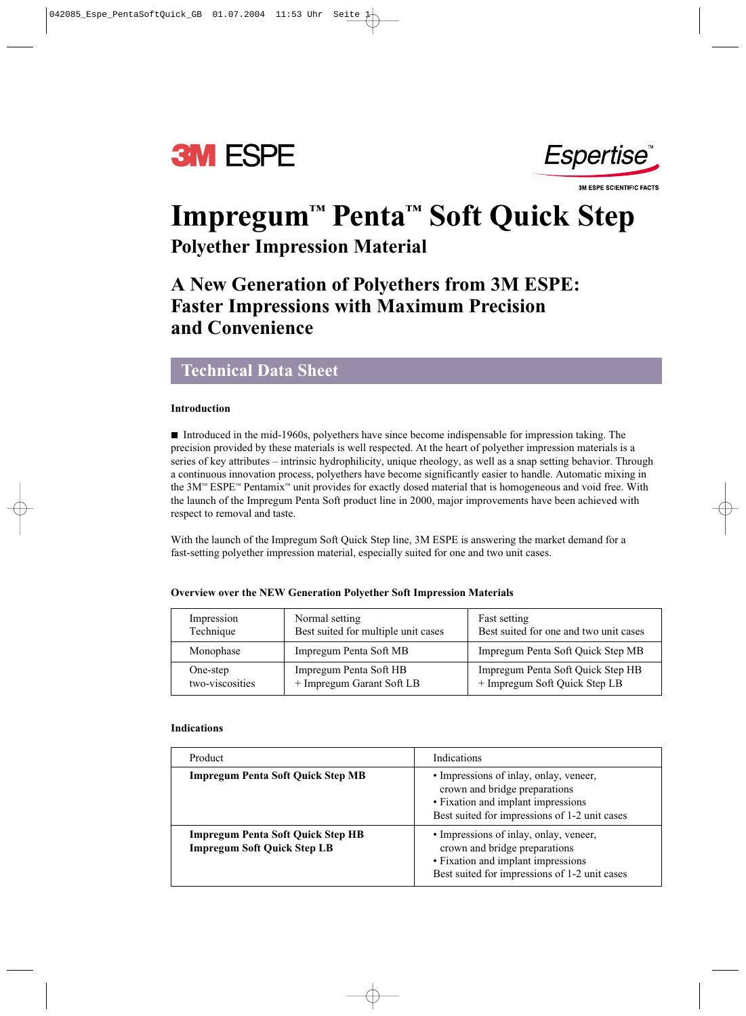



**3M ESPE SCIENTIFIC FACTS** 

# **Impregum™ Penta™ Soft Quick Step Polyether Impression Material**

## **A New Generation of Polyethers from 3M ESPE: Faster Impressions with Maximum Precision and Convenience**

### **Technical Data Sheet**

#### **Introduction**

■ Introduced in the mid-1960s, polyethers have since become indispensable for impression taking. The precision provided by these materials is well respected. At the heart of polyether impression materials is a series of key attributes – intrinsic hydrophilicity, unique rheology, as well as a snap setting behavior. Through a continuous innovation process, polyethers have become significantly easier to handle. Automatic mixing in the 3M™ ESPE™ Pentamix™ unit provides for exactly dosed material that is homogeneous and void free. With the launch of the Impregum Penta Soft product line in 2000, major improvements have been achieved with respect to removal and taste.

With the launch of the Impregum Soft Quick Step line, 3M ESPE is answering the market demand for a fast-setting polyether impression material, especially suited for one and two unit cases.

| Impression      | Normal setting                      | Fast setting                           |  |
|-----------------|-------------------------------------|----------------------------------------|--|
| Technique       | Best suited for multiple unit cases | Best suited for one and two unit cases |  |
| Monophase       | Impregum Penta Soft MB              | Impregum Penta Soft Quick Step MB      |  |
| One-step        | Impregum Penta Soft HB              | Impregum Penta Soft Quick Step HB      |  |
| two-viscosities | + Impregum Garant Soft LB           | + Impregum Soft Quick Step LB          |  |

#### **Overview over the NEW Generation Polyether Soft Impression Materials**

#### **Indications**

| Product                                                                        | <b>Indications</b>                                                                                                                                             |  |
|--------------------------------------------------------------------------------|----------------------------------------------------------------------------------------------------------------------------------------------------------------|--|
| <b>Impregum Penta Soft Quick Step MB</b>                                       | • Impressions of inlay, onlay, veneer,<br>crown and bridge preparations<br>• Fixation and implant impressions<br>Best suited for impressions of 1-2 unit cases |  |
| <b>Impregum Penta Soft Quick Step HB</b><br><b>Impregum Soft Quick Step LB</b> | • Impressions of inlay, onlay, veneer,<br>crown and bridge preparations<br>• Fixation and implant impressions<br>Best suited for impressions of 1-2 unit cases |  |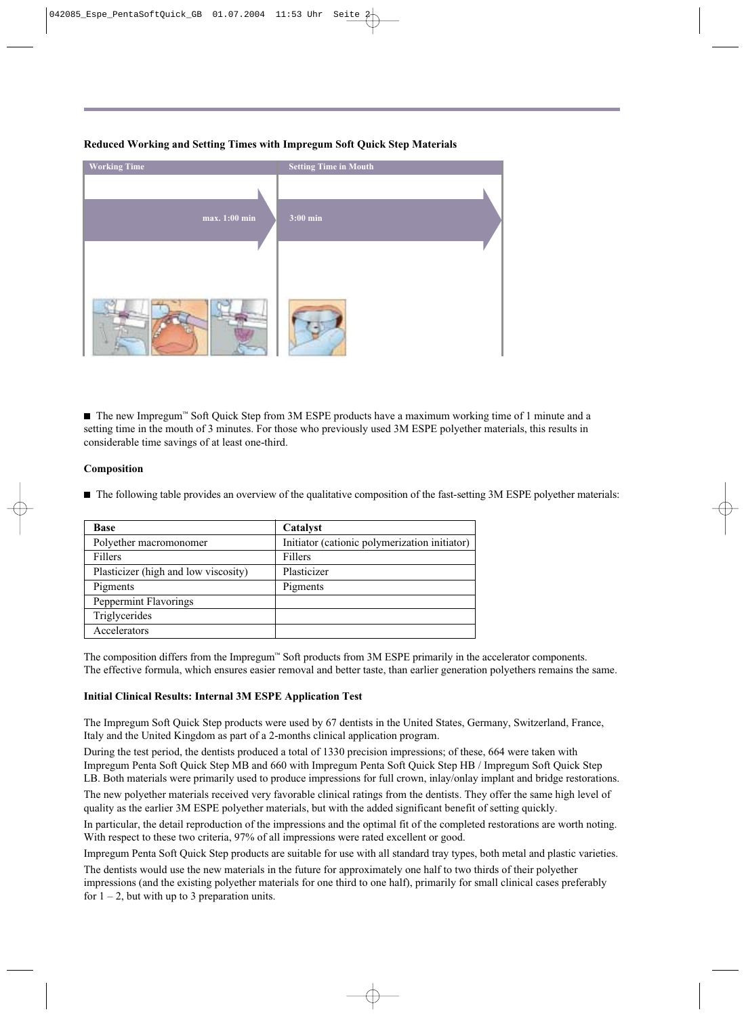# **Working Time Setting Time in Mouth max. 1:00 min 3:00 min**

**Reduced Working and Setting Times with Impregum Soft Quick Step Materials**

■ The new Impregum™ Soft Quick Step from 3M ESPE products have a maximum working time of 1 minute and a setting time in the mouth of 3 minutes. For those who previously used 3M ESPE polyether materials, this results in considerable time savings of at least one-third.

#### **Composition**

n The following table provides an overview of the qualitative composition of the fast-setting 3M ESPE polyether materials:

| <b>Base</b>                          | Catalyst                                      |  |  |
|--------------------------------------|-----------------------------------------------|--|--|
| Polyether macromonomer               | Initiator (cationic polymerization initiator) |  |  |
| Fillers                              | <b>Fillers</b>                                |  |  |
| Plasticizer (high and low viscosity) | Plasticizer                                   |  |  |
| Pigments                             | Pigments                                      |  |  |
| Peppermint Flavorings                |                                               |  |  |
| Triglycerides                        |                                               |  |  |
| Accelerators                         |                                               |  |  |

The composition differs from the Impregum™ Soft products from 3M ESPE primarily in the accelerator components. The effective formula, which ensures easier removal and better taste, than earlier generation polyethers remains the same.

#### **Initial Clinical Results: Internal 3M ESPE Application Test**

The Impregum Soft Quick Step products were used by 67 dentists in the United States, Germany, Switzerland, France, Italy and the United Kingdom as part of a 2-months clinical application program.

During the test period, the dentists produced a total of 1330 precision impressions; of these, 664 were taken with Impregum Penta Soft Quick Step MB and 660 with Impregum Penta Soft Quick Step HB / Impregum Soft Quick Step LB. Both materials were primarily used to produce impressions for full crown, inlay/onlay implant and bridge restorations.

The new polyether materials received very favorable clinical ratings from the dentists. They offer the same high level of quality as the earlier 3M ESPE polyether materials, but with the added significant benefit of setting quickly.

In particular, the detail reproduction of the impressions and the optimal fit of the completed restorations are worth noting. With respect to these two criteria, 97% of all impressions were rated excellent or good.

Impregum Penta Soft Quick Step products are suitable for use with all standard tray types, both metal and plastic varieties.

The dentists would use the new materials in the future for approximately one half to two thirds of their polyether impressions (and the existing polyether materials for one third to one half), primarily for small clinical cases preferably for  $1 - 2$ , but with up to 3 preparation units.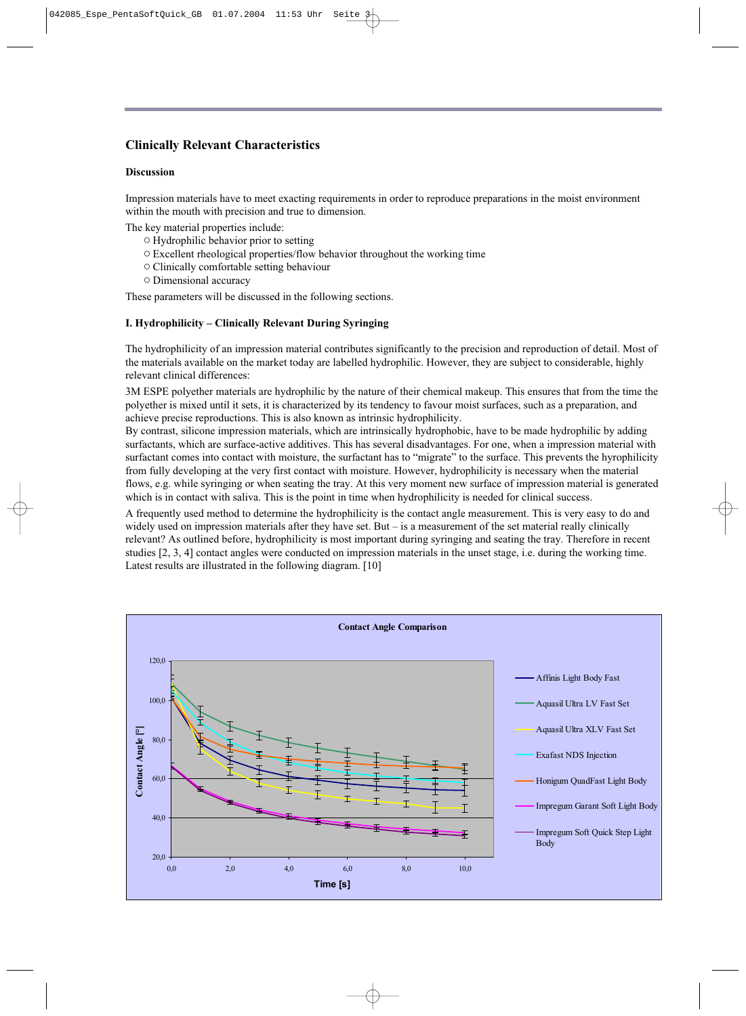#### **Clinically Relevant Characteristics**

#### **Discussion**

Impression materials have to meet exacting requirements in order to reproduce preparations in the moist environment within the mouth with precision and true to dimension.

The key material properties include:

- Hydrophilic behavior prior to setting
- Excellent rheological properties/flow behavior throughout the working time
- Clinically comfortable setting behaviour
- Dimensional accuracy

These parameters will be discussed in the following sections.

#### **I. Hydrophilicity – Clinically Relevant During Syringing**

The hydrophilicity of an impression material contributes significantly to the precision and reproduction of detail. Most of the materials available on the market today are labelled hydrophilic. However, they are subject to considerable, highly relevant clinical differences:

3M ESPE polyether materials are hydrophilic by the nature of their chemical makeup. This ensures that from the time the polyether is mixed until it sets, it is characterized by its tendency to favour moist surfaces, such as a preparation, and achieve precise reproductions. This is also known as intrinsic hydrophilicity.

By contrast, silicone impression materials, which are intrinsically hydrophobic, have to be made hydrophilic by adding surfactants, which are surface-active additives. This has several disadvantages. For one, when a impression material with surfactant comes into contact with moisture, the surfactant has to "migrate" to the surface. This prevents the hyrophilicity from fully developing at the very first contact with moisture. However, hydrophilicity is necessary when the material flows, e.g. while syringing or when seating the tray. At this very moment new surface of impression material is generated which is in contact with saliva. This is the point in time when hydrophilicity is needed for clinical success.

A frequently used method to determine the hydrophilicity is the contact angle measurement. This is very easy to do and widely used on impression materials after they have set. But – is a measurement of the set material really clinically relevant? As outlined before, hydrophilicity is most important during syringing and seating the tray. Therefore in recent studies [2, 3, 4] contact angles were conducted on impression materials in the unset stage, i.e. during the working time. Latest results are illustrated in the following diagram. [10]

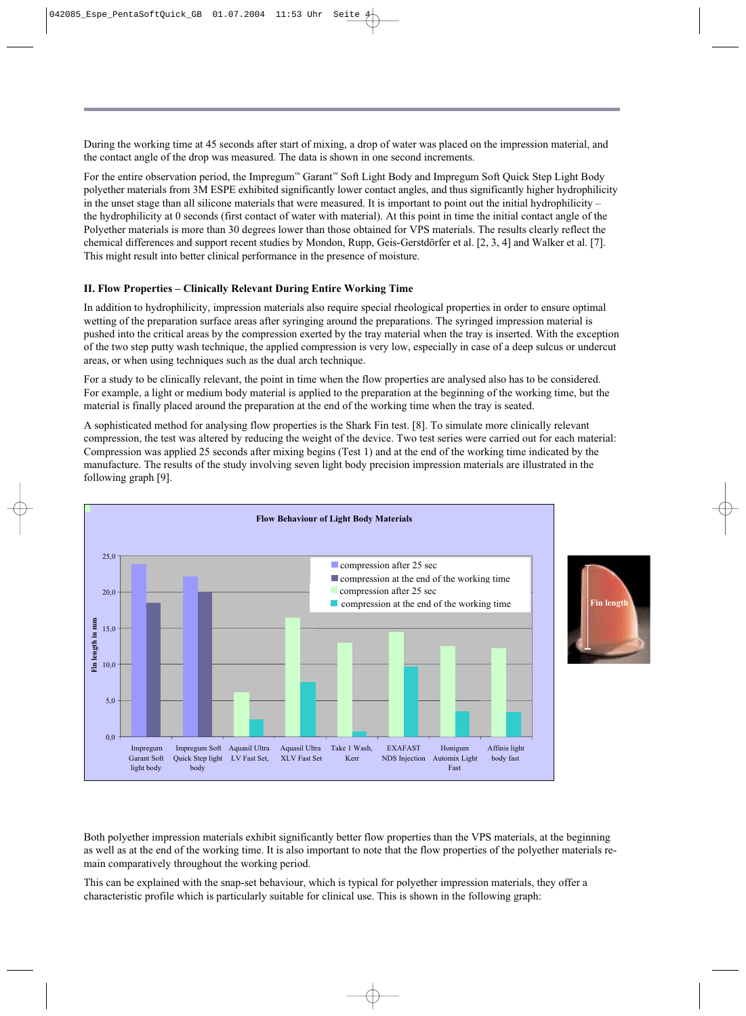During the working time at 45 seconds after start of mixing, a drop of water was placed on the impression material, and the contact angle of the drop was measured. The data is shown in one second increments.

For the entire observation period, the Impregum™ Garant™ Soft Light Body and Impregum Soft Quick Step Light Body polyether materials from 3M ESPE exhibited significantly lower contact angles, and thus significantly higher hydrophilicity in the unset stage than all silicone materials that were measured. It is important to point out the initial hydrophilicity – the hydrophilicity at 0 seconds (first contact of water with material). At this point in time the initial contact angle of the Polyether materials is more than 30 degrees lower than those obtained for VPS materials. The results clearly reflect the chemical differences and support recent studies by Mondon, Rupp, Geis-Gerstdörfer et al. [2, 3, 4] and Walker et al. [7]. This might result into better clinical performance in the presence of moisture.

#### **II. Flow Properties – Clinically Relevant During Entire Working Time**

In addition to hydrophilicity, impression materials also require special rheological properties in order to ensure optimal wetting of the preparation surface areas after syringing around the preparations. The syringed impression material is pushed into the critical areas by the compression exerted by the tray material when the tray is inserted. With the exception of the two step putty wash technique, the applied compression is very low, especially in case of a deep sulcus or undercut areas, or when using techniques such as the dual arch technique.

For a study to be clinically relevant, the point in time when the flow properties are analysed also has to be considered. For example, a light or medium body material is applied to the preparation at the beginning of the working time, but the material is finally placed around the preparation at the end of the working time when the tray is seated.

A sophisticated method for analysing flow properties is the Shark Fin test. [8]. To simulate more clinically relevant compression, the test was altered by reducing the weight of the device. Two test series were carried out for each material: Compression was applied 25 seconds after mixing begins (Test 1) and at the end of the working time indicated by the manufacture. The results of the study involving seven light body precision impression materials are illustrated in the following graph [9].



Both polyether impression materials exhibit significantly better flow properties than the VPS materials, at the beginning as well as at the end of the working time. It is also important to note that the flow properties of the polyether materials remain comparatively throughout the working period.

This can be explained with the snap-set behaviour, which is typical for polyether impression materials, they offer a characteristic profile which is particularly suitable for clinical use. This is shown in the following graph: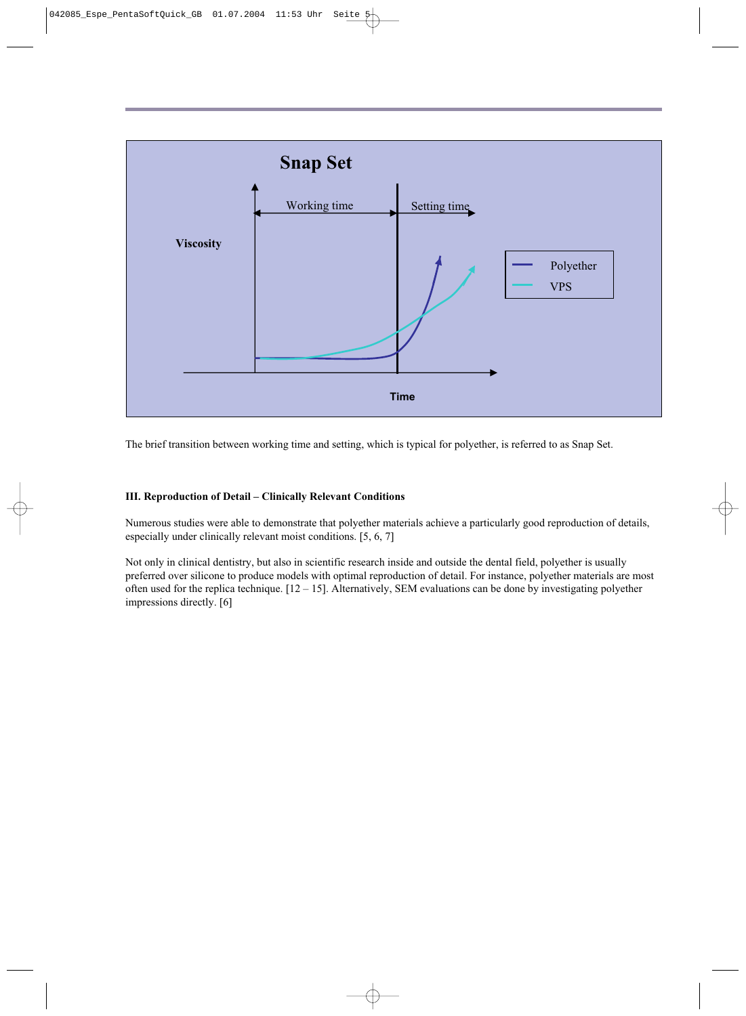

The brief transition between working time and setting, which is typical for polyether, is referred to as Snap Set.

#### **III. Reproduction of Detail – Clinically Relevant Conditions**

Numerous studies were able to demonstrate that polyether materials achieve a particularly good reproduction of details, especially under clinically relevant moist conditions. [5, 6, 7]

Not only in clinical dentistry, but also in scientific research inside and outside the dental field, polyether is usually preferred over silicone to produce models with optimal reproduction of detail. For instance, polyether materials are most often used for the replica technique.  $[12 - 15]$ . Alternatively, SEM evaluations can be done by investigating polyether impressions directly. [6]